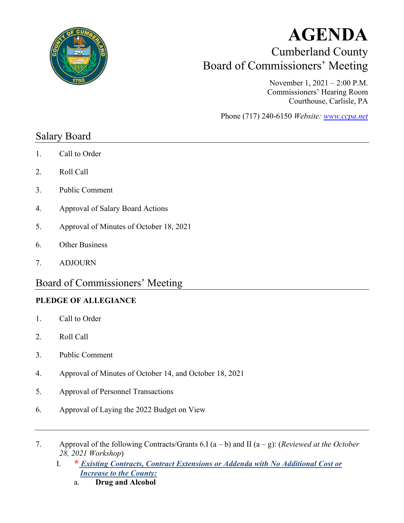

# **AGENDA** Cumberland County Board of Commissioners' Meeting

November 1, 2021 – 2:00 P.M. Commissioners' Hearing Room Courthouse, Carlisle, PA

Phone (717) 240-6150 *Website: [www.ccpa.net](http://www.ccpa.net/)*

## Salary Board

- 1. Call to Order
- 2. Roll Call
- 3. Public Comment
- 4. Approval of Salary Board Actions
- 5. Approval of Minutes of October 18, 2021
- 6. Other Business
- 7. ADJOURN

## Board of Commissioners' Meeting

### **PLEDGE OF ALLEGIANCE**

- 1. Call to Order
- 2. Roll Call
- 3. Public Comment
- 4. Approval of Minutes of October 14, and October 18, 2021
- 5. Approval of Personnel Transactions
- 6. Approval of Laying the 2022 Budget on View
- 7. Approval of the following Contracts/Grants 6.I (a b) and II (a g): (*Reviewed at the October 28, 2021 Workshop*)
	- I. **\*** *Existing Contracts, Contract Extensions or Addenda with No Additional Cost or Increase to the County:*
		- a. **Drug and Alcohol**